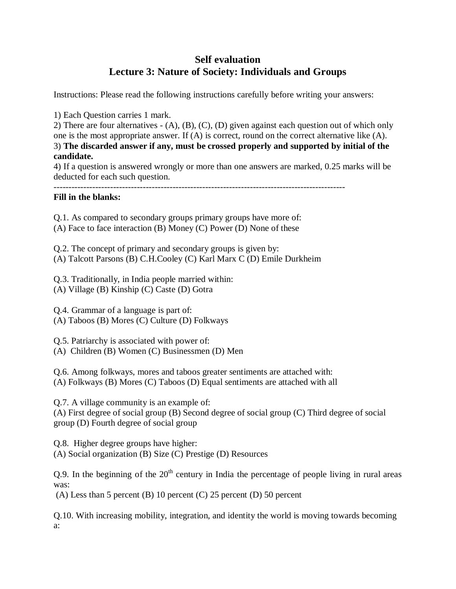# **Self evaluation Lecture 3: Nature of Society: Individuals and Groups**

Instructions: Please read the following instructions carefully before writing your answers:

1) Each Question carries 1 mark.

2) There are four alternatives - (A), (B), (C), (D) given against each question out of which only one is the most appropriate answer. If (A) is correct, round on the correct alternative like (A). 3) **The discarded answer if any, must be crossed properly and supported by initial of the candidate.**

4) If a question is answered wrongly or more than one answers are marked, 0.25 marks will be deducted for each such question.

## **Fill in the blanks:**

Q.1. As compared to secondary groups primary groups have more of:

(A) Face to face interaction (B) Money (C) Power (D) None of these

Q.2. The concept of primary and secondary groups is given by: (A) Talcott Parsons (B) C.H.Cooley (C) Karl Marx C (D) Emile Durkheim

Q.3. Traditionally, in India people married within: (A) Village (B) Kinship (C) Caste (D) Gotra

Q.4. Grammar of a language is part of:  $(A)$  Taboos  $(B)$  Mores  $(C)$  Culture  $(D)$  Folkways

Q.5. Patriarchy is associated with power of:

(A) Children (B) Women (C) Businessmen (D) Men

Q.6. Among folkways, mores and taboos greater sentiments are attached with: (A) Folkways (B) Mores (C) Taboos (D) Equal sentiments are attached with all

Q.7. A village community is an example of:

(A) First degree of social group (B) Second degree of social group (C) Third degree of social group (D) Fourth degree of social group

Q.8. Higher degree groups have higher: (A) Social organization (B) Size (C) Prestige (D) Resources

Q.9. In the beginning of the  $20<sup>th</sup>$  century in India the percentage of people living in rural areas was:

(A) Less than 5 percent (B) 10 percent (C) 25 percent (D) 50 percent

Q.10. With increasing mobility, integration, and identity the world is moving towards becoming a: